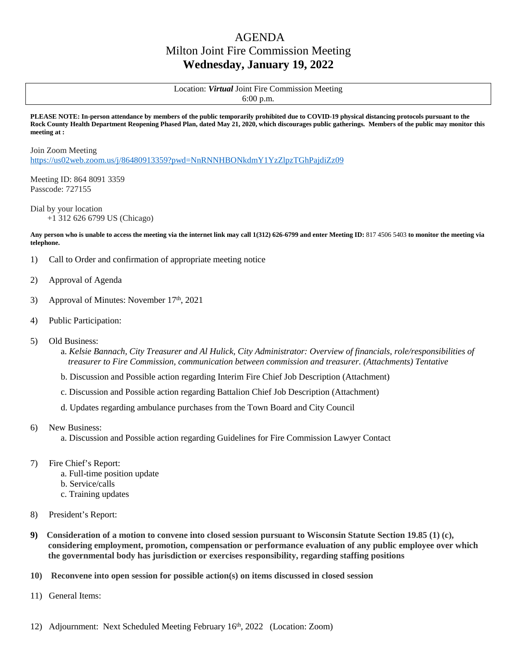# AGENDA Milton Joint Fire Commission Meeting **Wednesday, January 19, 2022**

Location: *Virtual* Joint Fire Commission Meeting 6:00 p.m.

**PLEASE NOTE: In-person attendance by members of the public temporarily prohibited due to COVID-19 physical distancing protocols pursuant to the Rock County Health Department Reopening Phased Plan, dated May 21, 2020, which discourages public gatherings. Members of the public may monitor this meeting at :**

Join Zoom Meeting <https://us02web.zoom.us/j/86480913359?pwd=NnRNNHBONkdmY1YzZlpzTGhPajdiZz09>

Meeting ID: 864 8091 3359 Passcode: 727155

Dial by your location +1 312 626 6799 US (Chicago)

**Any person who is unable to access the meeting via the internet link may call 1(312) 626-6799 and enter Meeting ID:** 817 4506 5403 **to monitor the meeting via telephone.**

- 1) Call to Order and confirmation of appropriate meeting notice
- 2) Approval of Agenda
- 3) Approval of Minutes: November  $17<sup>th</sup>$ , 2021
- 4) Public Participation:
- 5) Old Business:
	- a. *Kelsie Bannach, City Treasurer and Al Hulick, City Administrator: Overview of financials, role/responsibilities of treasurer to Fire Commission, communication between commission and treasurer. (Attachments) Tentative*
	- b. Discussion and Possible action regarding Interim Fire Chief Job Description (Attachment)
	- c. Discussion and Possible action regarding Battalion Chief Job Description (Attachment)
	- d. Updates regarding ambulance purchases from the Town Board and City Council
- 6) New Business:
	- a. Discussion and Possible action regarding Guidelines for Fire Commission Lawyer Contact
- 7) Fire Chief's Report:
	- a. Full-time position update
	- b. Service/calls
	- c. Training updates
- 8) President's Report:
- **9) Consideration of a motion to convene into closed session pursuant to Wisconsin Statute Section 19.85 (1) (c), considering employment, promotion, compensation or performance evaluation of any public employee over which the governmental body has jurisdiction or exercises responsibility, regarding staffing positions**
- **10) Reconvene into open session for possible action(s) on items discussed in closed session**
- 11) General Items:
- 12) Adjournment: Next Scheduled Meeting February 16th, 2022 (Location: Zoom)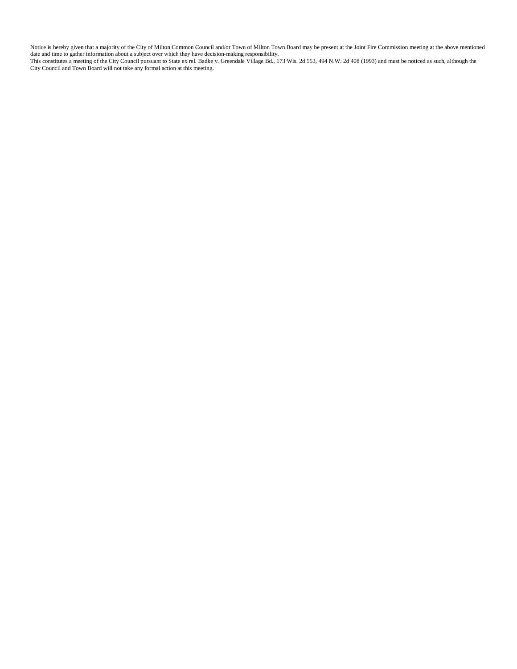Notice is hereby given that a majority of the City of Milton Common Council and/or Town of Milton Town Board may be present at the Joint Fire Commission meeting at the above mentioned date and time to gather information about a subject over which they have decision-making responsibility.

This constitutes a meeting of the City Council pursuant to State ex rel. Badke v. Greendale Village Bd., 173 Wis. 2d 553, 494 N.W. 2d 408 (1993) and must be noticed as such, although the City Council and Town Board will not take any formal action at this meeting.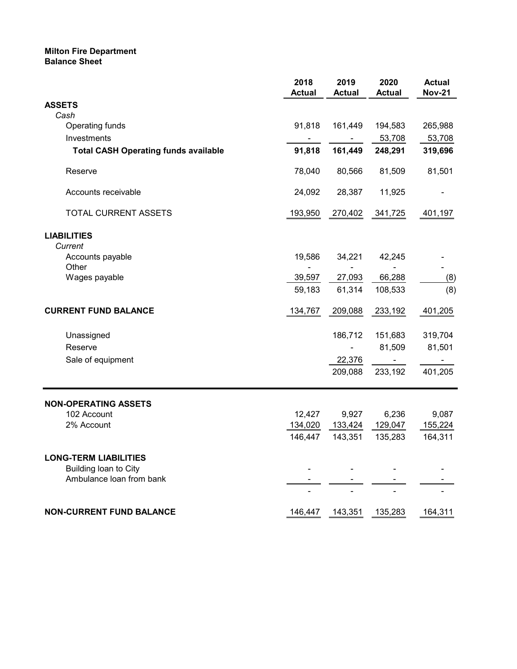# Milton Fire Department

Balance Sheet

|                                             | 2018<br><b>Actual</b>    | 2019<br><b>Actual</b> | 2020<br><b>Actual</b> | <b>Actual</b><br><b>Nov-21</b> |
|---------------------------------------------|--------------------------|-----------------------|-----------------------|--------------------------------|
| <b>ASSETS</b>                               |                          |                       |                       |                                |
| Cash                                        |                          |                       |                       |                                |
| Operating funds                             | 91,818                   | 161,449               | 194,583               | 265,988                        |
| Investments                                 |                          |                       | 53,708                | 53,708                         |
| <b>Total CASH Operating funds available</b> | 91,818                   | 161,449               | 248,291               | 319,696                        |
| Reserve                                     | 78,040                   | 80,566                | 81,509                | 81,501                         |
| Accounts receivable                         | 24,092                   | 28,387                | 11,925                |                                |
| TOTAL CURRENT ASSETS                        | 193,950                  | 270,402               | 341,725               | 401,197                        |
| <b>LIABILITIES</b>                          |                          |                       |                       |                                |
| Current<br>Accounts payable                 | 19,586                   | 34,221                | 42,245                |                                |
| Other                                       |                          | ÷,                    |                       | -                              |
| Wages payable                               | 39,597                   | 27,093                | 66,288                | (8)                            |
|                                             | 59,183                   | 61,314                | 108,533               | (8)                            |
| <b>CURRENT FUND BALANCE</b>                 | 134,767                  | 209,088               | 233,192               | 401,205                        |
| Unassigned                                  |                          | 186,712               | 151,683               | 319,704                        |
| Reserve                                     |                          |                       | 81,509                | 81,501                         |
| Sale of equipment                           |                          | 22,376                |                       |                                |
|                                             |                          | 209,088               | 233,192               | 401,205                        |
| <b>NON-OPERATING ASSETS</b>                 |                          |                       |                       |                                |
| 102 Account                                 | 12,427                   | 9,927                 | 6,236                 | 9,087                          |
| 2% Account                                  | 134,020                  | 133,424               | 129,047               | 155,224                        |
|                                             | 146,447                  | 143,351               | 135,283               | 164,311                        |
| <b>LONG-TERM LIABILITIES</b>                |                          |                       |                       |                                |
| Building loan to City                       | $\overline{\phantom{a}}$ | $\blacksquare$        |                       |                                |
| Ambulance loan from bank                    |                          |                       |                       |                                |
|                                             |                          |                       |                       |                                |
| <b>NON-CURRENT FUND BALANCE</b>             | 146,447                  | 143,351               | 135,283               | 164,311                        |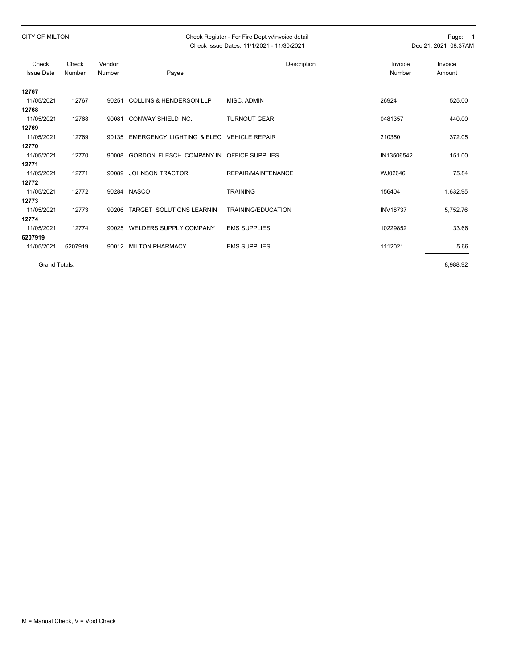| <b>CITY OF MILTON</b>      |                 |                  | Check Register - For Fire Dept w/invoice detail |                           | Page: 1              |                   |
|----------------------------|-----------------|------------------|-------------------------------------------------|---------------------------|----------------------|-------------------|
|                            |                 |                  | Check Issue Dates: 11/1/2021 - 11/30/2021       |                           | Dec 21, 2021 08:37AM |                   |
| Check<br><b>Issue Date</b> | Check<br>Number | Vendor<br>Number | Payee                                           | Description               | Invoice<br>Number    | Invoice<br>Amount |
| 12767                      |                 |                  |                                                 |                           |                      |                   |
| 11/05/2021<br>12768        | 12767           |                  | 90251 COLLINS & HENDERSON LLP                   | MISC. ADMIN               | 26924                | 525.00            |
| 11/05/2021<br>12769        | 12768           |                  | 90081 CONWAY SHIELD INC.                        | <b>TURNOUT GEAR</b>       | 0481357              | 440.00            |
| 11/05/2021<br>12770        | 12769           |                  | 90135 EMERGENCY LIGHTING & ELEC VEHICLE REPAIR  |                           | 210350               | 372.05            |
| 11/05/2021<br>12771        | 12770           |                  | 90008 GORDON FLESCH COMPANY IN OFFICE SUPPLIES  |                           | IN13506542           | 151.00            |
| 11/05/2021<br>12772        | 12771           | 90089            | <b>JOHNSON TRACTOR</b>                          | <b>REPAIR/MAINTENANCE</b> | WJ02646              | 75.84             |
| 11/05/2021<br>12773        | 12772           |                  | 90284 NASCO                                     | <b>TRAINING</b>           | 156404               | 1,632.95          |
| 11/05/2021<br>12774        | 12773           | 90206            | TARGET SOLUTIONS LEARNIN                        | TRAINING/EDUCATION        | <b>INV18737</b>      | 5,752.76          |
| 11/05/2021<br>6207919      | 12774           |                  | 90025 WELDERS SUPPLY COMPANY                    | <b>EMS SUPPLIES</b>       | 10229852             | 33.66             |
| 11/05/2021                 | 6207919         |                  | 90012 MILTON PHARMACY                           | <b>EMS SUPPLIES</b>       | 1112021              | 5.66              |
|                            |                 |                  |                                                 |                           |                      |                   |

Grand Totals: 8,988.92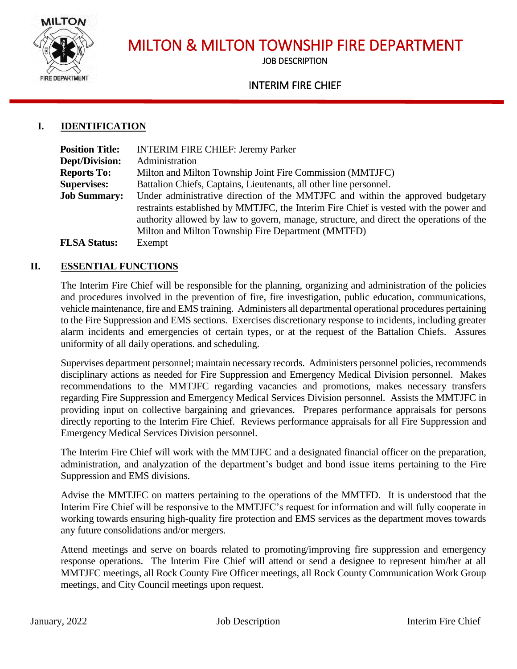

JOB DESCRIPTION

# INTERIM FIRE CHIEF

## **I. IDENTIFICATION**

| <b>Position Title:</b> | <b>INTERIM FIRE CHIEF: Jeremy Parker</b>                                                                                                                                                                                                                                                                                 |
|------------------------|--------------------------------------------------------------------------------------------------------------------------------------------------------------------------------------------------------------------------------------------------------------------------------------------------------------------------|
| Dept/Division:         | Administration                                                                                                                                                                                                                                                                                                           |
| <b>Reports To:</b>     | Milton and Milton Township Joint Fire Commission (MMTJFC)                                                                                                                                                                                                                                                                |
| <b>Supervises:</b>     | Battalion Chiefs, Captains, Lieutenants, all other line personnel.                                                                                                                                                                                                                                                       |
| <b>Job Summary:</b>    | Under administrative direction of the MMTJFC and within the approved budgetary<br>restraints established by MMTJFC, the Interim Fire Chief is vested with the power and<br>authority allowed by law to govern, manage, structure, and direct the operations of the<br>Milton and Milton Township Fire Department (MMTFD) |
| <b>FLSA Status:</b>    | Exempt                                                                                                                                                                                                                                                                                                                   |

 $\overline{a}$ 

## **II. ESSENTIAL FUNCTIONS**

The Interim Fire Chief will be responsible for the planning, organizing and administration of the policies and procedures involved in the prevention of fire, fire investigation, public education, communications, vehicle maintenance, fire and EMS training. Administers all departmental operational procedures pertaining to the Fire Suppression and EMS sections. Exercises discretionary response to incidents, including greater alarm incidents and emergencies of certain types, or at the request of the Battalion Chiefs. Assures uniformity of all daily operations. and scheduling.

Supervises department personnel; maintain necessary records. Administers personnel policies, recommends disciplinary actions as needed for Fire Suppression and Emergency Medical Division personnel. Makes recommendations to the MMTJFC regarding vacancies and promotions, makes necessary transfers regarding Fire Suppression and Emergency Medical Services Division personnel. Assists the MMTJFC in providing input on collective bargaining and grievances. Prepares performance appraisals for persons directly reporting to the Interim Fire Chief. Reviews performance appraisals for all Fire Suppression and Emergency Medical Services Division personnel.

The Interim Fire Chief will work with the MMTJFC and a designated financial officer on the preparation, administration, and analyzation of the department's budget and bond issue items pertaining to the Fire Suppression and EMS divisions.

Advise the MMTJFC on matters pertaining to the operations of the MMTFD. It is understood that the Interim Fire Chief will be responsive to the MMTJFC's request for information and will fully cooperate in working towards ensuring high-quality fire protection and EMS services as the department moves towards any future consolidations and/or mergers.

Attend meetings and serve on boards related to promoting/improving fire suppression and emergency response operations. The Interim Fire Chief will attend or send a designee to represent him/her at all MMTJFC meetings, all Rock County Fire Officer meetings, all Rock County Communication Work Group meetings, and City Council meetings upon request.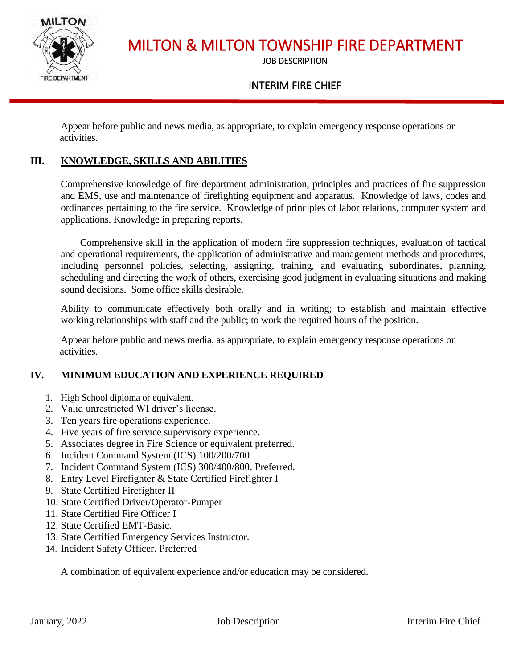

JOB DESCRIPTION

## INTERIM FIRE CHIEF

Appear before public and news media, as appropriate, to explain emergency response operations or activities.

 $\overline{a}$ 

## **III. KNOWLEDGE, SKILLS AND ABILITIES**

Comprehensive knowledge of fire department administration, principles and practices of fire suppression and EMS, use and maintenance of firefighting equipment and apparatus. Knowledge of laws, codes and ordinances pertaining to the fire service. Knowledge of principles of labor relations, computer system and applications. Knowledge in preparing reports.

Comprehensive skill in the application of modern fire suppression techniques, evaluation of tactical and operational requirements, the application of administrative and management methods and procedures, including personnel policies, selecting, assigning, training, and evaluating subordinates, planning, scheduling and directing the work of others, exercising good judgment in evaluating situations and making sound decisions. Some office skills desirable.

Ability to communicate effectively both orally and in writing; to establish and maintain effective working relationships with staff and the public; to work the required hours of the position.

Appear before public and news media, as appropriate, to explain emergency response operations or activities.

## **IV. MINIMUM EDUCATION AND EXPERIENCE REQUIRED**

- 1. High School diploma or equivalent.
- 2. Valid unrestricted WI driver's license.
- 3. Ten years fire operations experience.
- 4. Five years of fire service supervisory experience.
- 5. Associates degree in Fire Science or equivalent preferred.
- 6. Incident Command System (ICS) 100/200/700
- 7. Incident Command System (ICS) 300/400/800. Preferred.
- 8. Entry Level Firefighter & State Certified Firefighter I
- 9. State Certified Firefighter II
- 10. State Certified Driver/Operator-Pumper
- 11. State Certified Fire Officer I
- 12. State Certified EMT-Basic.
- 13. State Certified Emergency Services Instructor.
- 14. Incident Safety Officer. Preferred

A combination of equivalent experience and/or education may be considered.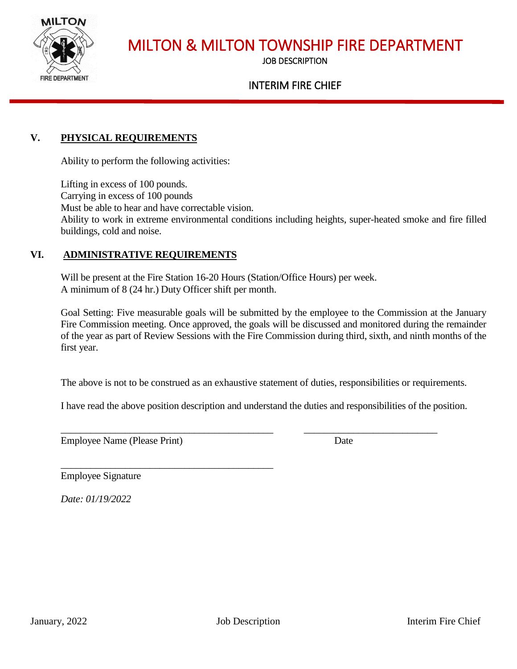

JOB DESCRIPTION

# INTERIM FIRE CHIEF

### **V. PHYSICAL REQUIREMENTS**

Ability to perform the following activities:

Lifting in excess of 100 pounds. Carrying in excess of 100 pounds Must be able to hear and have correctable vision. Ability to work in extreme environmental conditions including heights, super-heated smoke and fire filled buildings, cold and noise.

 $\overline{a}$ 

#### **VI. ADMINISTRATIVE REQUIREMENTS**

Will be present at the Fire Station 16-20 Hours (Station/Office Hours) per week. A minimum of 8 (24 hr.) Duty Officer shift per month.

Goal Setting: Five measurable goals will be submitted by the employee to the Commission at the January Fire Commission meeting. Once approved, the goals will be discussed and monitored during the remainder of the year as part of Review Sessions with the Fire Commission during third, sixth, and ninth months of the first year.

The above is not to be construed as an exhaustive statement of duties, responsibilities or requirements.

I have read the above position description and understand the duties and responsibilities of the position.

\_\_\_\_\_\_\_\_\_\_\_\_\_\_\_\_\_\_\_\_\_\_\_\_\_\_\_\_\_\_\_\_\_\_\_\_\_\_\_\_\_\_\_ \_\_\_\_\_\_\_\_\_\_\_\_\_\_\_\_\_\_\_\_\_\_\_\_\_\_\_

Employee Name (Please Print) Date

\_\_\_\_\_\_\_\_\_\_\_\_\_\_\_\_\_\_\_\_\_\_\_\_\_\_\_\_\_\_\_\_\_\_\_\_\_\_\_\_\_\_\_

Employee Signature

*Date: 01/19/2022*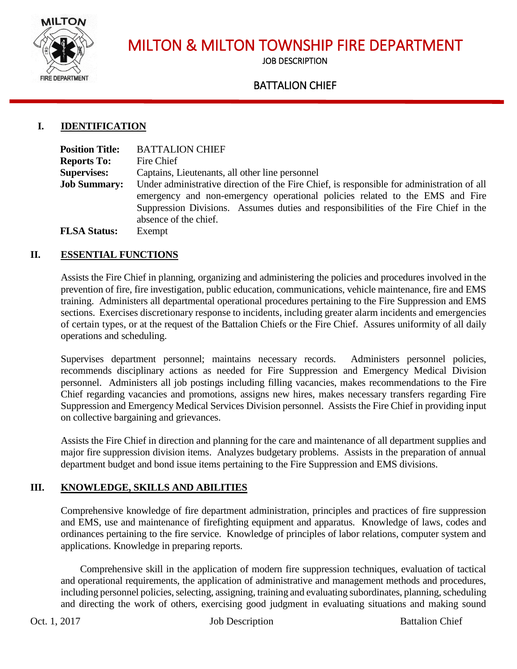

JOB DESCRIPTION

# BATTALION CHIEF

## **I. IDENTIFICATION**

| <b>Position Title:</b> | <b>BATTALION CHIEF</b>                                                                     |
|------------------------|--------------------------------------------------------------------------------------------|
| <b>Reports To:</b>     | Fire Chief                                                                                 |
| <b>Supervises:</b>     | Captains, Lieutenants, all other line personnel                                            |
| <b>Job Summary:</b>    | Under administrative direction of the Fire Chief, is responsible for administration of all |
|                        | emergency and non-emergency operational policies related to the EMS and Fire               |
|                        | Suppression Divisions. Assumes duties and responsibilities of the Fire Chief in the        |
|                        | absence of the chief.                                                                      |
| <b>FLSA Status:</b>    | Exempt                                                                                     |
|                        |                                                                                            |

 $\overline{a}$ 

## **II. ESSENTIAL FUNCTIONS**

Assists the Fire Chief in planning, organizing and administering the policies and procedures involved in the prevention of fire, fire investigation, public education, communications, vehicle maintenance, fire and EMS training. Administers all departmental operational procedures pertaining to the Fire Suppression and EMS sections. Exercises discretionary response to incidents, including greater alarm incidents and emergencies of certain types, or at the request of the Battalion Chiefs or the Fire Chief. Assures uniformity of all daily operations and scheduling.

Supervises department personnel; maintains necessary records. Administers personnel policies, recommends disciplinary actions as needed for Fire Suppression and Emergency Medical Division personnel. Administers all job postings including filling vacancies, makes recommendations to the Fire Chief regarding vacancies and promotions, assigns new hires, makes necessary transfers regarding Fire Suppression and Emergency Medical Services Division personnel. Assists the Fire Chief in providing input on collective bargaining and grievances.

Assists the Fire Chief in direction and planning for the care and maintenance of all department supplies and major fire suppression division items. Analyzes budgetary problems. Assists in the preparation of annual department budget and bond issue items pertaining to the Fire Suppression and EMS divisions.

## **III. KNOWLEDGE, SKILLS AND ABILITIES**

Comprehensive knowledge of fire department administration, principles and practices of fire suppression and EMS, use and maintenance of firefighting equipment and apparatus. Knowledge of laws, codes and ordinances pertaining to the fire service. Knowledge of principles of labor relations, computer system and applications. Knowledge in preparing reports.

Comprehensive skill in the application of modern fire suppression techniques, evaluation of tactical and operational requirements, the application of administrative and management methods and procedures, including personnel policies, selecting, assigning, training and evaluating subordinates, planning, scheduling and directing the work of others, exercising good judgment in evaluating situations and making sound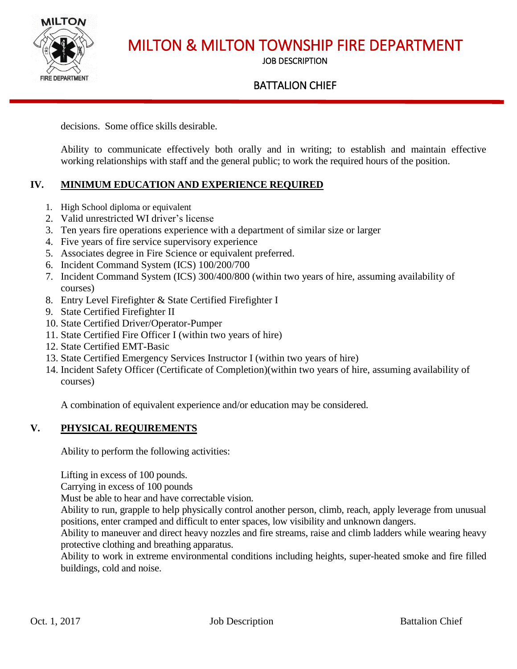

JOB DESCRIPTION

# BATTALION CHIEF

decisions. Some office skills desirable.

Ability to communicate effectively both orally and in writing; to establish and maintain effective working relationships with staff and the general public; to work the required hours of the position.

 $\overline{a}$ 

## **IV. MINIMUM EDUCATION AND EXPERIENCE REQUIRED**

- 1. High School diploma or equivalent
- 2. Valid unrestricted WI driver's license
- 3. Ten years fire operations experience with a department of similar size or larger
- 4. Five years of fire service supervisory experience
- 5. Associates degree in Fire Science or equivalent preferred.
- 6. Incident Command System (ICS) 100/200/700
- 7. Incident Command System (ICS) 300/400/800 (within two years of hire, assuming availability of courses)
- 8. Entry Level Firefighter & State Certified Firefighter I
- 9. State Certified Firefighter II
- 10. State Certified Driver/Operator-Pumper
- 11. State Certified Fire Officer I (within two years of hire)
- 12. State Certified EMT-Basic
- 13. State Certified Emergency Services Instructor I (within two years of hire)
- 14. Incident Safety Officer (Certificate of Completion)(within two years of hire, assuming availability of courses)

A combination of equivalent experience and/or education may be considered.

## **V. PHYSICAL REQUIREMENTS**

Ability to perform the following activities:

Lifting in excess of 100 pounds.

Carrying in excess of 100 pounds

Must be able to hear and have correctable vision.

Ability to run, grapple to help physically control another person, climb, reach, apply leverage from unusual positions, enter cramped and difficult to enter spaces, low visibility and unknown dangers.

Ability to maneuver and direct heavy nozzles and fire streams, raise and climb ladders while wearing heavy protective clothing and breathing apparatus.

Ability to work in extreme environmental conditions including heights, super-heated smoke and fire filled buildings, cold and noise.